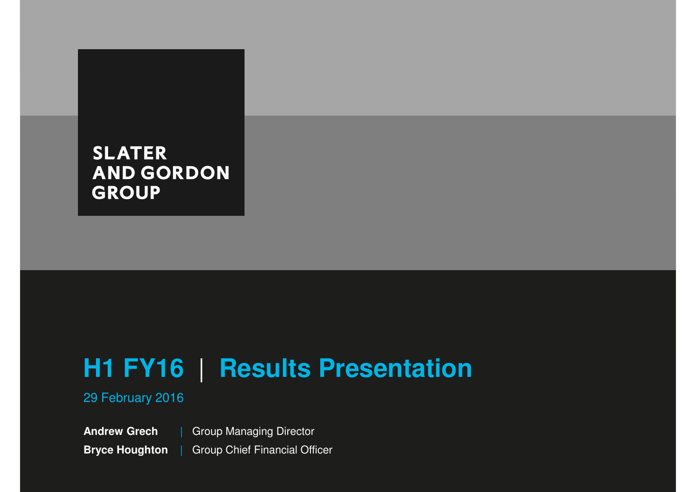## **SLATER AND GORDON GROUP**

# **H1 FY16** | **Results Presentation**

29 February 2016

**Andrew GrechBryce Houghton**| Group Managing DirectorGroup Chief Financial Officer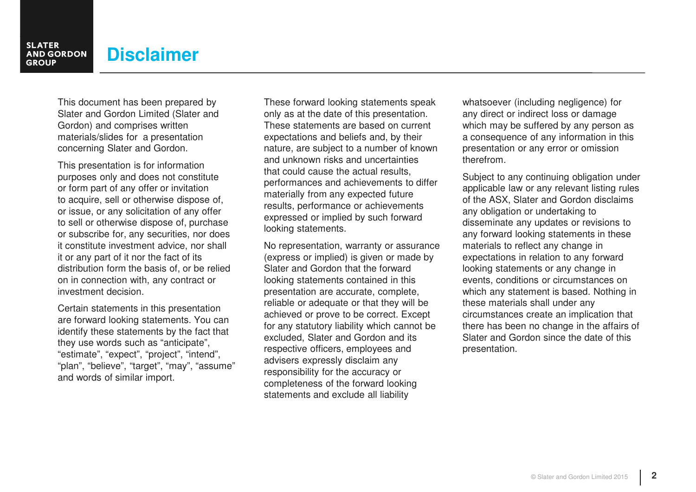## **Disclaimer**

This document has been prepared by Slater and Gordon Limited (Slater and Gordon) and comprises written materials/slides for a presentation concerning Slater and Gordon.

This presentation is for information purposes only and does not constitute or form part of any offer or invitation to acquire, sell or otherwise dispose of, or issue, or any solicitation of any offer to sell or otherwise dispose of, purchase or subscribe for, any securities, nor does it constitute investment advice, nor shall it or any part of it nor the fact of its distribution form the basis of, or be relied on in connection with, any contract or investment decision.

Certain statements in this presentation are forward looking statements. You can identify these statements by the fact that they use words such as "anticipate", "estimate", "expect", "project", "intend", "plan", "believe", "target", "may", "assume" and words of similar import.

These forward looking statements speak only as at the date of this presentation. These statements are based on current expectations and beliefs and, by their nature, are subject to a number of known and unknown risks and uncertainties that could cause the actual results, performances and achievements to differ materially from any expected future results, performance or achievements expressed or implied by such forward looking statements.

No representation, warranty or assurance (express or implied) is given or made by Slater and Gordon that the forward looking statements contained in this presentation are accurate, complete, reliable or adequate or that they will be achieved or prove to be correct. Except for any statutory liability which cannot be excluded, Slater and Gordon and its respective officers, employees and advisers expressly disclaim any responsibility for the accuracy or completeness of the forward looking statements and exclude all liability

whatsoever (including negligence) for any direct or indirect loss or damage which may be suffered by any person as a consequence of any information in this presentation or any error or omission therefrom.

Subject to any continuing obligation under applicable law or any relevant listing rules of the ASX, Slater and Gordon disclaims any obligation or undertaking to disseminate any updates or revisions to any forward looking statements in these materials to reflect any change in expectations in relation to any forward looking statements or any change in events, conditions or circumstances on which any statement is based. Nothing in these materials shall under any circumstances create an implication that there has been no change in the affairs of Slater and Gordon since the date of this presentation.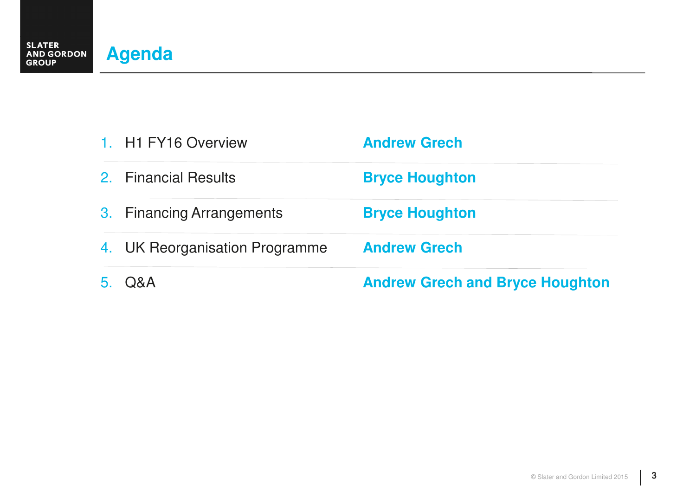|    | 2. Financial Results           | <b>Bryce Houghton</b>                  |
|----|--------------------------------|----------------------------------------|
|    | 3. Financing Arrangements      | <b>Bryce Houghton</b>                  |
|    | 4. UK Reorganisation Programme | <b>Andrew Grech</b>                    |
| 5. | Q&A                            | <b>Andrew Grech and Bryce Houghton</b> |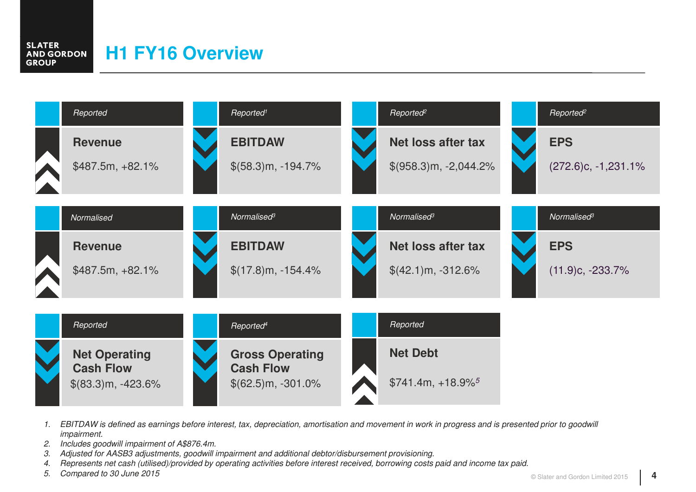#### **SLATER H1 FY16 OverviewAND GORDON GROUP**



- 1. EBITDAW is defined as earnings before interest, tax, depreciation, amortisation and movement in work in progress and is presented prior to goodwill impairment.
- 2. Includes goodwill impairment of A\$876.4m.
- 3. Adjusted for AASB3 adjustments, goodwill impairment and additional debtor/disbursement provisioning.
- 4. Represents net cash (utilised)/provided by operating activities before interest received, borrowing costs paid and income tax paid.
- 5. Compared to 30 June 2015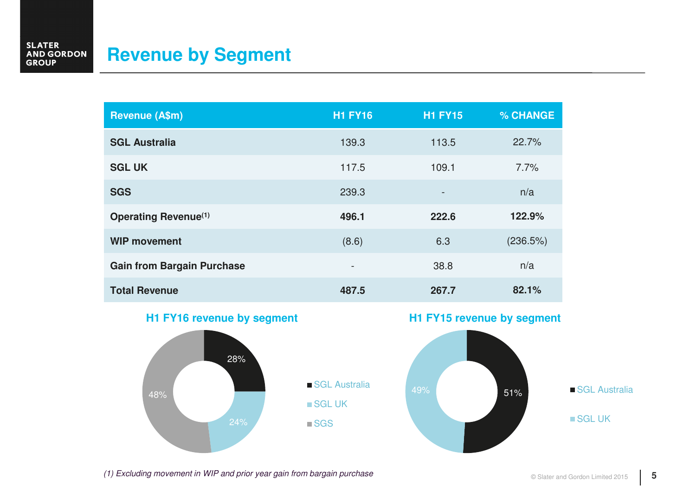#### **SLATER<br>AND GORDON<br>GROUP Revenue by Segment**

| <b>Revenue (A\$m)</b>             | <b>H1 FY16</b>           | <b>H1 FY15</b>    | % CHANGE |
|-----------------------------------|--------------------------|-------------------|----------|
| <b>SGL Australia</b>              | 139.3                    | 113.5             | 22.7%    |
| <b>SGL UK</b>                     | 117.5                    | 109.1             | 7.7%     |
| <b>SGS</b>                        | 239.3                    | $\qquad \qquad -$ | n/a      |
| <b>Operating Revenue(1)</b>       | 496.1                    | 222.6             | 122.9%   |
| <b>WIP movement</b>               | (8.6)                    | 6.3               | (236.5%) |
| <b>Gain from Bargain Purchase</b> | $\overline{\phantom{a}}$ | 38.8              | n/a      |
| <b>Total Revenue</b>              | 487.5                    | 267.7             | 82.1%    |

#### **H1 FY16 revenue by segment**







(1) Excluding movement in WIP and prior year gain from bargain purchase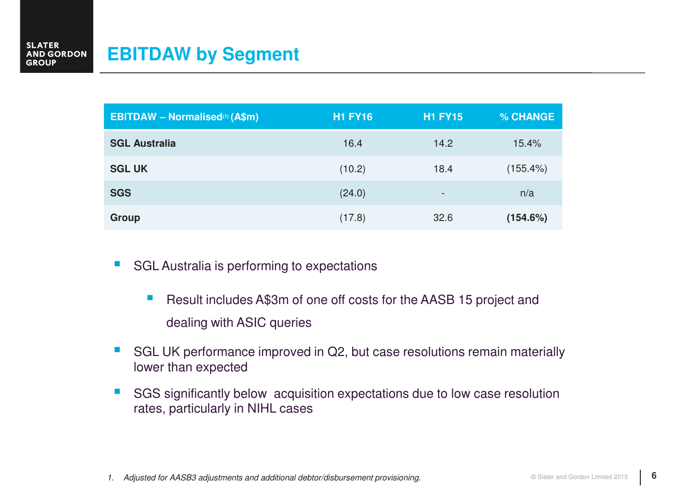| <b>EBITDAW - Normalised(1) (A\$m)</b> | <b>H1 FY16</b> | <b>H1 FY15</b> | % CHANGE    |
|---------------------------------------|----------------|----------------|-------------|
| <b>SGL Australia</b>                  | 16.4           | 14.2           | 15.4%       |
| <b>SGL UK</b>                         | (10.2)         | 18.4           | $(155.4\%)$ |
| <b>SGS</b>                            | (24.0)         | -              | n/a         |
| <b>Group</b>                          | (17.8)         | 32.6           | (154.6%)    |

- $\mathcal{L}_{\mathcal{A}}$  SGL Australia is performing to expectations
	- Result includes A\$3m of one off costs for the AASB 15 project and dealing with ASIC queries
- $\mathbb{R}^3$  SGL UK performance improved in Q2, but case resolutions remain materially lower than expected
- $\overline{\mathbb{R}^2}$  SGS significantly below acquisition expectations due to low case resolution rates, particularly in NIHL cases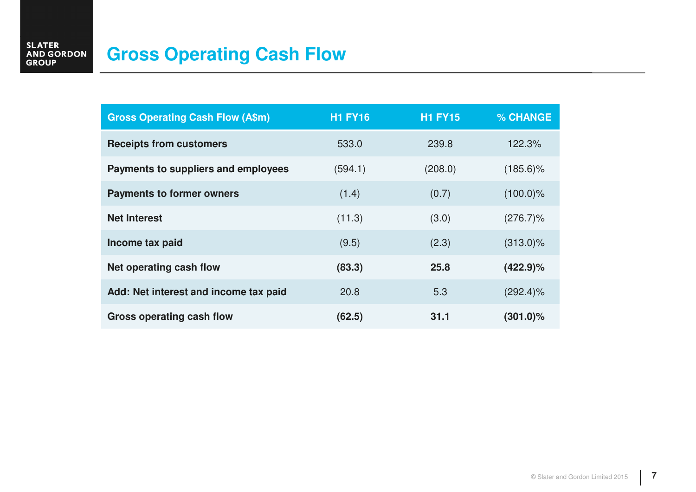## **Gross Operating Cash Flow**

| <b>Gross Operating Cash Flow (A\$m)</b> | <b>H1 FY16</b> | <b>H1 FY15</b> | % CHANGE    |
|-----------------------------------------|----------------|----------------|-------------|
| <b>Receipts from customers</b>          | 533.0          | 239.8          | 122.3%      |
| Payments to suppliers and employees     | (594.1)        | (208.0)        | $(185.6)\%$ |
| <b>Payments to former owners</b>        | (1.4)          | (0.7)          | $(100.0)\%$ |
| <b>Net Interest</b>                     | (11.3)         | (3.0)          | $(276.7)\%$ |
| Income tax paid                         | (9.5)          | (2.3)          | $(313.0)\%$ |
| Net operating cash flow                 | (83.3)         | 25.8           | $(422.9)\%$ |
| Add: Net interest and income tax paid   | 20.8           | 5.3            | $(292.4)\%$ |
| Gross operating cash flow               | (62.5)         | 31.1           | $(301.0)\%$ |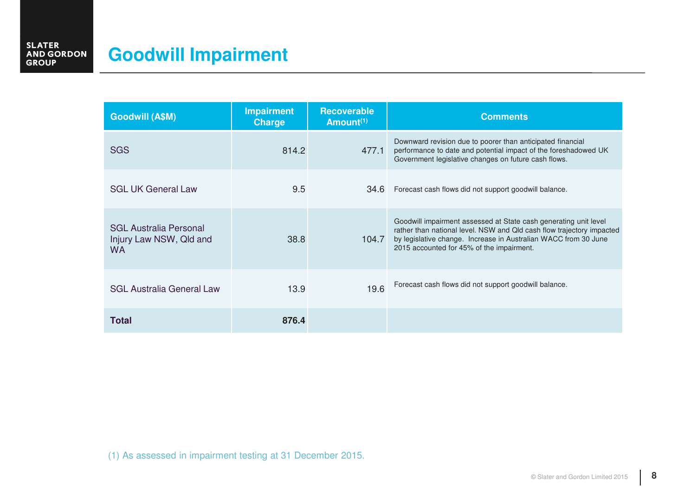#### **SLATER<br>AND GORDON<br>GROUP Goodwill Impairment**

| <b>Goodwill (A\$M)</b>                                                | <b>Impairment</b><br><b>Charge</b> | <b>Recoverable</b><br>Amount <sup>(1)</sup> | <b>Comments</b>                                                                                                                                                                                                                                           |
|-----------------------------------------------------------------------|------------------------------------|---------------------------------------------|-----------------------------------------------------------------------------------------------------------------------------------------------------------------------------------------------------------------------------------------------------------|
| <b>SGS</b>                                                            | 814.2                              | 477.1                                       | Downward revision due to poorer than anticipated financial<br>performance to date and potential impact of the foreshadowed UK<br>Government legislative changes on future cash flows.                                                                     |
| <b>SGL UK General Law</b>                                             | 9.5                                | 34.6                                        | Forecast cash flows did not support goodwill balance.                                                                                                                                                                                                     |
| <b>SGL Australia Personal</b><br>Injury Law NSW, Qld and<br><b>WA</b> | 38.8                               | 104.7                                       | Goodwill impairment assessed at State cash generating unit level<br>rather than national level. NSW and Qld cash flow trajectory impacted<br>by legislative change. Increase in Australian WACC from 30 June<br>2015 accounted for 45% of the impairment. |
| <b>SGL Australia General Law</b>                                      | 13.9                               | 19.6                                        | Forecast cash flows did not support goodwill balance.                                                                                                                                                                                                     |
| Total                                                                 | 876.4                              |                                             |                                                                                                                                                                                                                                                           |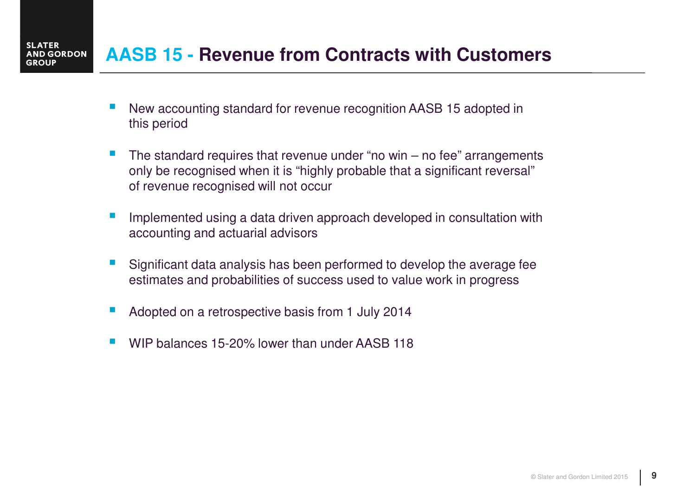#### **AASB 15 - Revenue from Contracts with CustomersAND GORDON**

- $\mathbb{R}^2$  New accounting standard for revenue recognition AASB 15 adopted in this period
- k. The standard requires that revenue under "no win  $-$  no fee" arrangements only be recognised when it is "highly probable that a significant reversal" of revenue recognised will not occur
- k. Implemented using a data driven approach developed in consultation with accounting and actuarial advisors
- $\mathbb{R}^2$  Significant data analysis has been performed to develop the average fee estimates and probabilities of success used to value work in progress
- k. Adopted on a retrospective basis from 1 July 2014

**SLATER** 

**GROUP** 

h. WIP balances 15-20% lower than under AASB 118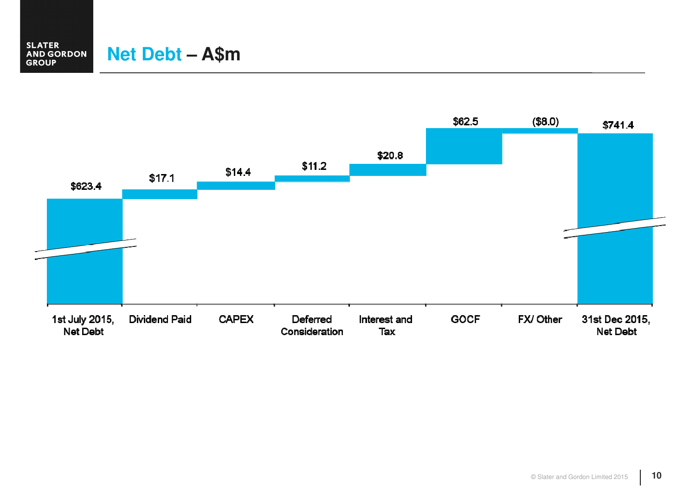#### **SLATER<br>AND GORDON<br>GROUP Net Debt – A\$m**

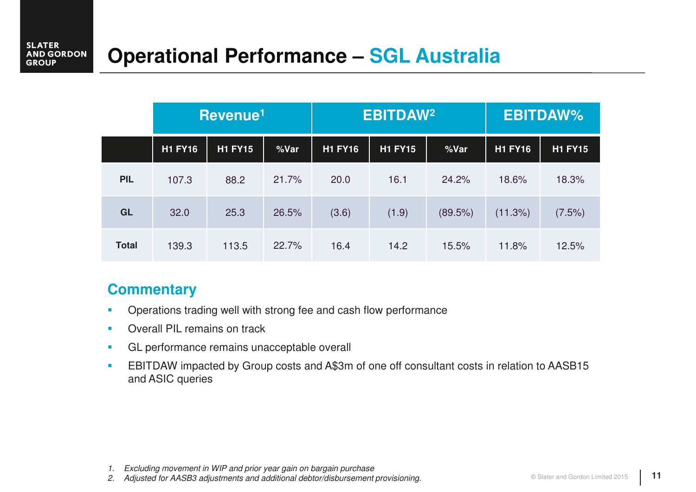# **Operational Performance – SGL Australia**

|              | Revenue <sup>1</sup> |                |       | <b>EBITDAW<sup>2</sup></b> |                |         | <b>EBITDAW%</b> |                |
|--------------|----------------------|----------------|-------|----------------------------|----------------|---------|-----------------|----------------|
|              | <b>H1 FY16</b>       | <b>H1 FY15</b> | %Var  | <b>H1 FY16</b>             | <b>H1 FY15</b> | %Var    | <b>H1 FY16</b>  | <b>H1 FY15</b> |
| <b>PIL</b>   | 107.3                | 88.2           | 21.7% | 20.0                       | 16.1           | 24.2%   | 18.6%           | 18.3%          |
| GL           | 32.0                 | 25.3           | 26.5% | (3.6)                      | (1.9)          | (89.5%) | (11.3%)         | (7.5%)         |
| <b>Total</b> | 139.3                | 113.5          | 22.7% | 16.4                       | 14.2           | 15.5%   | 11.8%           | 12.5%          |

#### **Commentary**

- $\mathcal{L}_{\mathcal{A}}$ Operations trading well with strong fee and cash flow performance
- m. Overall PIL remains on track
- $\blacksquare$ GL performance remains unacceptable overall
- $\blacksquare$  EBITDAW impacted by Group costs and A\$3m of one off consultant costs in relation to AASB15 and ASIC queries

<sup>1.</sup> Excluding movement in WIP and prior year gain on bargain purchase

2. Adjusted for AASB3 adjustments and additional debtor/disbursement provisioning.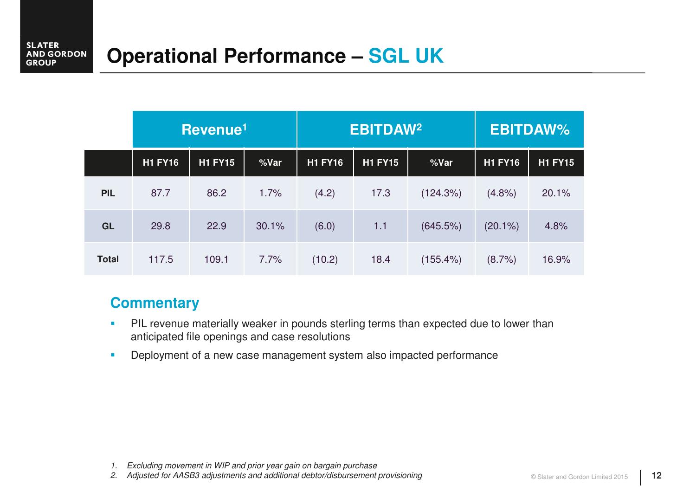|              | Revenue <sup>1</sup> |                |       | <b>EBITDAW<sup>2</sup></b> |                |             | <b>EBITDAW%</b> |                |
|--------------|----------------------|----------------|-------|----------------------------|----------------|-------------|-----------------|----------------|
|              | <b>H1 FY16</b>       | <b>H1 FY15</b> | %Var  | <b>H1 FY16</b>             | <b>H1 FY15</b> | %Var        | <b>H1 FY16</b>  | <b>H1 FY15</b> |
| <b>PIL</b>   | 87.7                 | 86.2           | 1.7%  | (4.2)                      | 17.3           | (124.3%)    | (4.8%)          | 20.1%          |
| GL           | 29.8                 | 22.9           | 30.1% | (6.0)                      | 1.1            | (645.5%)    | $(20.1\%)$      | 4.8%           |
| <b>Total</b> | 117.5                | 109.1          | 7.7%  | (10.2)                     | 18.4           | $(155.4\%)$ | (8.7%)          | 16.9%          |

### **Commentary**

- $\blacksquare$  PIL revenue materially weaker in pounds sterling terms than expected due to lower than anticipated file openings and case resolutions
- $\mathcal{L}_{\mathcal{A}}$ Deployment of a new case management system also impacted performance

<sup>1.</sup> Excluding movement in WIP and prior year gain on bargain purchase

2. Adjusted for AASB3 adjustments and additional debtor/disbursement provisioning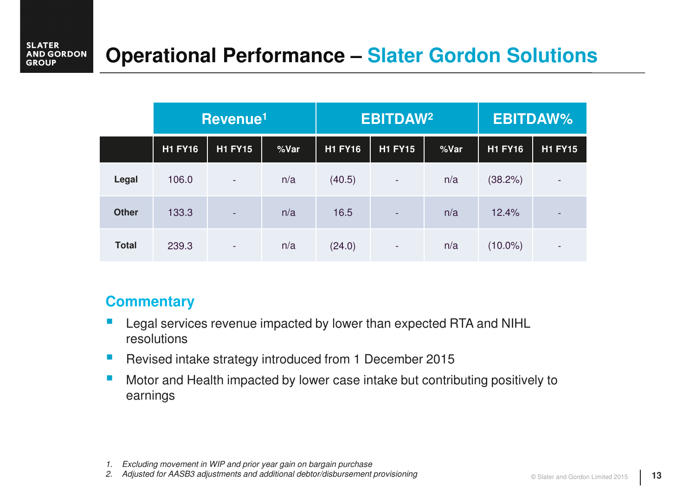# **Operational Performance – Slater Gordon Solutions**

|              | Revenue <sup>1</sup> |                          | <b>EBITDAW<sup>2</sup></b> |                |                          | <b>EBITDAW%</b> |                |                          |
|--------------|----------------------|--------------------------|----------------------------|----------------|--------------------------|-----------------|----------------|--------------------------|
|              | <b>H1 FY16</b>       | <b>H1 FY15</b>           | %Var                       | <b>H1 FY16</b> | <b>H1 FY15</b>           | %Var            | <b>H1 FY16</b> | <b>H1 FY15</b>           |
| Legal        | 106.0                | $\overline{\phantom{a}}$ | n/a                        | (40.5)         | ÷                        | n/a             | (38.2%)        | $\overline{\phantom{a}}$ |
| <b>Other</b> | 133.3                | $\overline{\phantom{a}}$ | n/a                        | 16.5           | $\overline{\phantom{a}}$ | n/a             | 12.4%          |                          |
| <b>Total</b> | 239.3                | $\overline{\phantom{a}}$ | n/a                        | (24.0)         | $\overline{\phantom{a}}$ | n/a             | $(10.0\%)$     | $\overline{\phantom{a}}$ |

#### **Commentary**

- $\Box$  Legal services revenue impacted by lower than expected RTA and NIHL resolutions
- $\overline{\phantom{a}}$ Revised intake strategy introduced from 1 December 2015
- $\mathcal{L}_{\mathcal{A}}$  Motor and Health impacted by lower case intake but contributing positively to earnings

<sup>1.</sup> Excluding movement in WIP and prior year gain on bargain purchase

2. Adjusted for AASB3 adjustments and additional debtor/disbursement provisioning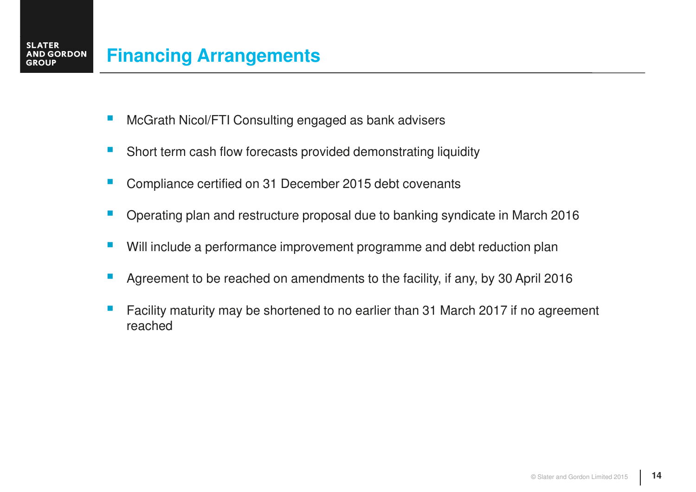- $\overline{\phantom{a}}$ McGrath Nicol/FTI Consulting engaged as bank advisers
- $\overline{\phantom{a}}$ Short term cash flow forecasts provided demonstrating liquidity
- F Compliance certified on 31 December 2015 debt covenants
- $\mathbb{R}^2$ Operating plan and restructure proposal due to banking syndicate in March 2016
- Г Will include a performance improvement programme and debt reduction plan
- П Agreement to be reached on amendments to the facility, if any, by 30 April 2016
- $\mathbb{R}^2$  Facility maturity may be shortened to no earlier than 31 March 2017 if no agreement reached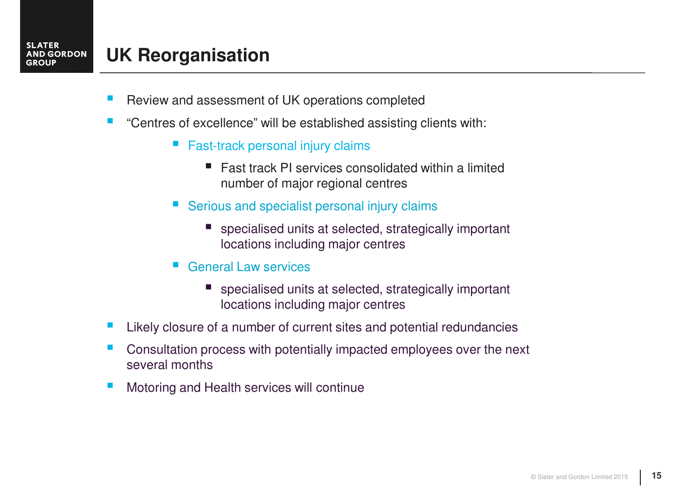#### **UK Reorganisation AND GORDON**

**SLATER** 

**GROUP** 

- h. Review and assessment of UK operations completed
- h. "Centres of excellence" will be established assisting clients with:
	- $\mathcal{L}_{\mathcal{A}}$  Fast-track personal injury claims
		- Fast track PI services consolidated within a limited number of major regional centres
	- **Service Service**  Serious and specialist personal injury claims
		- specialised units at selected, strategically important locations including major centres
	- **Service Service**  General Law services
		- specialised units at selected, strategically important locations including major centres
- $\mathcal{L}_{\mathcal{A}}$ Likely closure of a number of current sites and potential redundancies
- $\mathbb{R}^2$  Consultation process with potentially impacted employees over the next several months
- $\mathcal{C}^{\mathcal{A}}$ Motoring and Health services will continue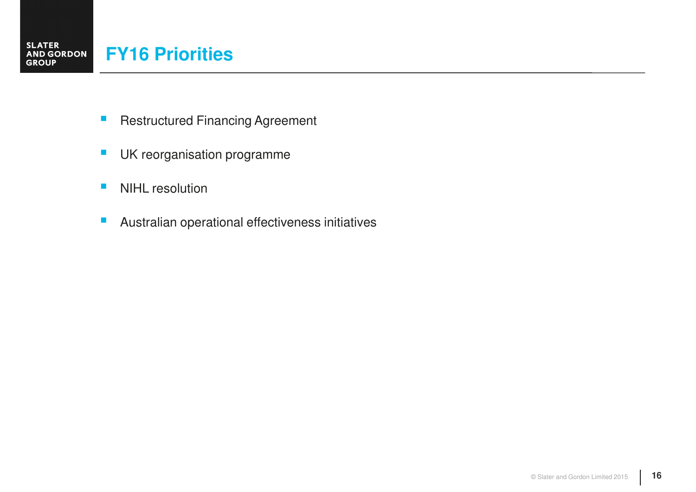- $\mathbb{R}^n$ Restructured Financing Agreement
- $\mathcal{L}_{\mathcal{A}}$ UK reorganisation programme
- $\mathcal{L}_{\mathcal{A}}$ NIHL resolution
- $\mathcal{L}_{\mathcal{A}}$ Australian operational effectiveness initiatives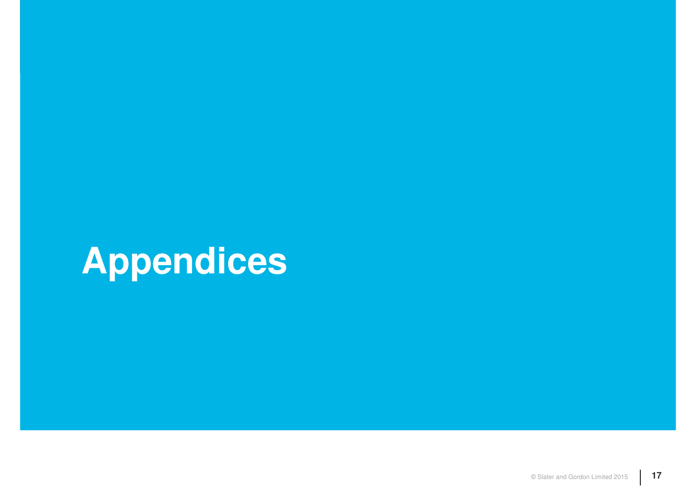# **Appendices**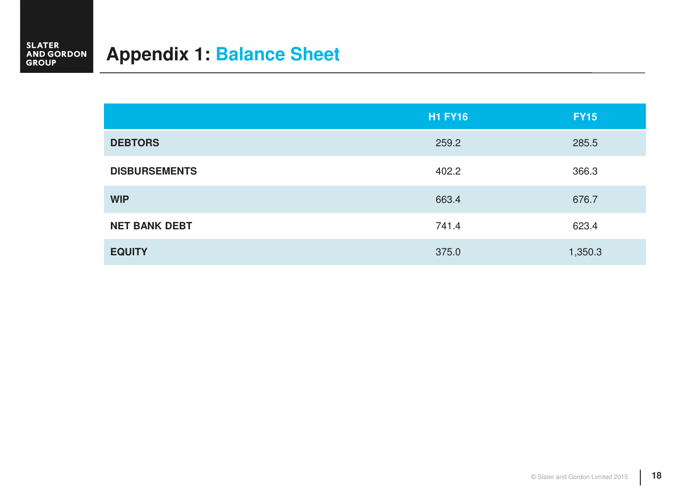## **Appendix 1: Balance Sheet**

|                      | <b>H1 FY16</b> | <b>FY15</b> |
|----------------------|----------------|-------------|
| <b>DEBTORS</b>       | 259.2          | 285.5       |
| <b>DISBURSEMENTS</b> | 402.2          | 366.3       |
| <b>WIP</b>           | 663.4          | 676.7       |
| <b>NET BANK DEBT</b> | 741.4          | 623.4       |
| <b>EQUITY</b>        | 375.0          | 1,350.3     |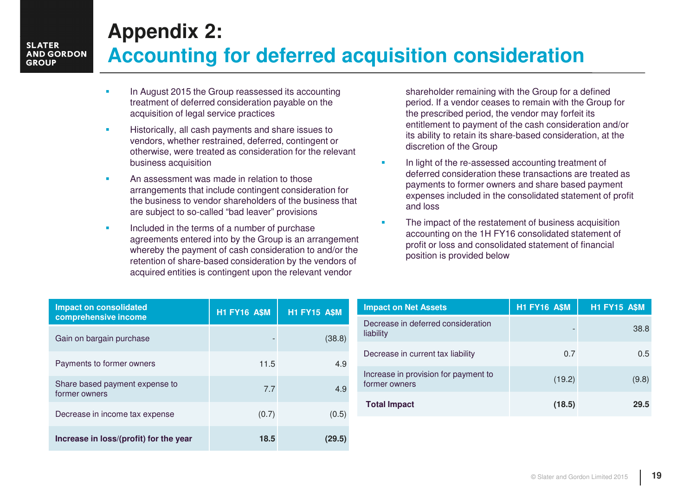# **Appendix 2:**

#### **SLATER AND GORDON GROUP**

## **Accounting for deferred acquisition consideration**

- $\mathbf{r}$  In August 2015 the Group reassessed its accounting treatment of deferred consideration payable on the acquisition of legal service practices
- $\overline{\phantom{a}}$  Historically, all cash payments and share issues to vendors, whether restrained, deferred, contingent or otherwise, were treated as consideration for the relevant business acquisition
- $\mathbf{u}$  An assessment was made in relation to those arrangements that include contingent consideration for the business to vendor shareholders of the business that are subject to so-called "bad leaver" provisions
- $\mathbf{r}$  Included in the terms of a number of purchase agreements entered into by the Group is an arrangement whereby the payment of cash consideration to and/or the retention of share-based consideration by the vendors ofacquired entities is contingent upon the relevant vendor

shareholder remaining with the Group for a defined period. If a vendor ceases to remain with the Group for the prescribed period, the vendor may forfeit its entitlement to payment of the cash consideration and/or its ability to retain its share-based consideration, at the discretion of the Group

- $\mathbf{r}$  In light of the re-assessed accounting treatment of deferred consideration these transactions are treated as payments to former owners and share based payment expenses included in the consolidated statement of profitand loss
- $\mathbf{r}$  The impact of the restatement of business acquisition accounting on the 1H FY16 consolidated statement of profit or loss and consolidated statement of financial position is provided below

| <b>Impact on consolidated</b><br>comprehensive income | <b>H1 FY16 A\$M</b> | <b>H1 FY15 A\$M</b> |
|-------------------------------------------------------|---------------------|---------------------|
| Gain on bargain purchase                              |                     | (38.8)              |
| Payments to former owners                             | 11.5                | 4.9                 |
| Share based payment expense to<br>former owners       | 77                  | 4.9                 |
| Decrease in income tax expense                        | (0.7)               | (0.5)               |
| Increase in loss/(profit) for the year                | 18.5                | (29.5)              |

| <b>Impact on Net Assets</b>                           | <b>H1 FY16 A\$M</b> | <b>H1 FY15 A\$M</b> |
|-------------------------------------------------------|---------------------|---------------------|
| Decrease in deferred consideration<br>liability       |                     | 38.8                |
| Decrease in current tax liability                     | 0.7                 | 0.5                 |
| Increase in provision for payment to<br>former owners | (19.2)              | (9.8)               |
| <b>Total Impact</b>                                   | (18.5)              | 29.5                |